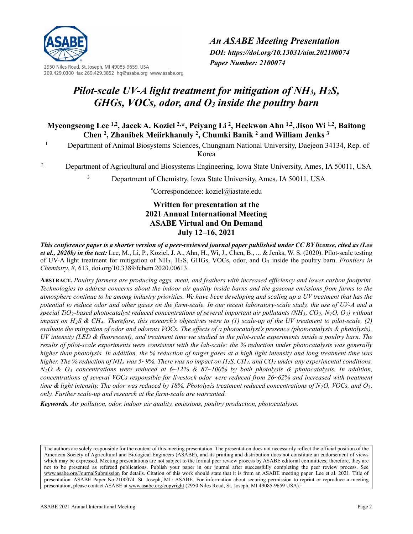

2950 Niles Road, St. Joseph, MI 49085-9659, USA 269.429.0300 fax 269.429.3852 hq@asabe.org www.asabe.org *An ASABE Meeting Presentation DOI: https://doi.org/10.13031/aim.202100074 Paper Number: 2100074*

# *Pilot-scale UV-A light treatment for mitigation of NH3, H2S, GHGs, VOCs, odor, and O3 inside the poultry barn*

**Myeongseong Lee 1,2, Jacek A. Koziel 2,\*, Peiyang Li 2, Heekwon Ahn 1,2, Jisoo Wi 1,2, Baitong Chen 2 , Zhanibek Meiirkhanuly 2, Chumki Banik 2 and William Jenks 3**

<sup>1</sup> Department of Animal Biosystems Sciences, Chungnam National University, Daejeon 34134, Rep. of Korea

<sup>2</sup> Department of Agricultural and Biosystems Engineering, Iowa State University, Ames, IA 50011, USA

<sup>3</sup> Department of Chemistry, Iowa State University, Ames, IA 50011, USA

**\*** Correspondence: koziel@iastate.edu

# **Written for presentation at the 2021 Annual International Meeting ASABE Virtual and On Demand July 12–16, 2021**

*This conference paper is a shorter version of a peer-reviewed journal paper published under CC BY license, cited as (Lee et al., 2020b) in the text:* Lee, M., Li, P., Koziel, J. A., Ahn, H., Wi, J., Chen, B., ... & Jenks, W. S. (2020). Pilot-scale testing of UV-A light treatment for mitigation of NH3, H2S, GHGs, VOCs, odor, and O3 inside the poultry barn. *Frontiers in Chemistry*, *8*, 613, doi.org/10.3389/fchem.2020.00613.

**ABSTRACT.** *Poultry farmers are producing eggs, meat, and feathers with increased efficiency and lower carbon footprint. Technologies to address concerns about the indoor air quality inside barns and the gaseous emissions from farms to the atmosphere continue to be among industry priorities. We have been developing and scaling up a UV treatment that has the potential to reduce odor and other gases on the farm-scale. In our recent laboratory-scale study, the use of UV-A and a special TiO2-based photocatalyst reduced concentrations of several important air pollutants (NH3, CO2, N2O, O3) without impact on H2S & CH4. Therefore, this research's objectives were to (1) scale-up of the UV treatment to pilot-scale, (2) evaluate the mitigation of odor and odorous VOCs. The effects of a photocatalyst's presence (photocatalysis & photolysis), UV intensity (LED & fluorescent), and treatment time we studied in the pilot-scale experiments inside a poultry barn. The results of pilot-scale experiments were consistent with the lab-scale: the % reduction under photocatalysis was generally higher than photolysis. In addition, the % reduction of target gases at a high light intensity and long treatment time was higher. The % reduction of NH<sub>3</sub> was 5~9%. There was no impact on H<sub>2</sub>S, CH<sub>4</sub>, and CO<sub>2</sub> <i>under any experimental conditions. N2O & O3 concentrations were reduced at 6~12% & 87~100% by both photolysis & photocatalysis. In addition, concentrations of several VOCs responsible for livestock odor were reduced from 26~62% and increased with treatment time & light intensity. The odor was reduced by 18%. Photolysis treatment reduced concentrations of N2O, VOCs, and O3, only. Further scale-up and research at the farm-scale are warranted.*

*Keywords. Air pollution, odor, indoor air quality, emissions, poultry production, photocatalysis.*

The authors are solely responsible for the content of this meeting presentation. The presentation does not necessarily reflect the official position of the American Society of Agricultural and Biological Engineers (ASABE), and its printing and distribution does not constitute an endorsement of views which may be expressed. Meeting presentations are not subject to the formal peer review process by ASABE editorial committees; therefore, they are not to be presented as refereed publications. Publish your paper in our journal after successfully completing the peer review process. See [www.asabe.org/JournalSubmission](http://www.asabe.org/JournalSubmission) for details. Citation of this work should state that it is from an ASABE meeting paper. Lee et al. 2021. Title of presentation. ASABE Paper No.2100074. St. Joseph, MI.: ASABE. For information about securing permission to reprint or reproduce a meeting presentation, please contact ASABE a[t www.asabe.org/copyright](http://www.asabe.org/copyright) (2950 Niles Road, St. Joseph, MI 49085-9659 USA).<sup>1</sup>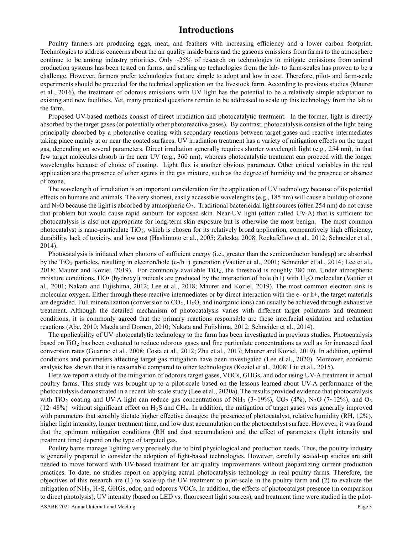# **Introductions**

Poultry farmers are producing eggs, meat, and feathers with increasing efficiency and a lower carbon footprint. Technologies to address concerns about the air quality inside barns and the gaseous emissions from farms to the atmosphere continue to be among industry priorities. Only  $\sim$ 25% of research on technologies to mitigate emissions from animal production systems has been tested on farms, and scaling up technologies from the lab- to farm-scales has proven to be a challenge. However, farmers prefer technologies that are simple to adopt and low in cost. Therefore, pilot- and farm-scale experiments should be preceded for the technical application on the livestock farm. According to previous studies (Maurer et al., 2016), the treatment of odorous emissions with UV light has the potential to be a relatively simple adaptation to existing and new facilities. Yet, many practical questions remain to be addressed to scale up this technology from the lab to the farm.

Proposed UV-based methods consist of direct irradiation and photocatalytic treatment. In the former, light is directly absorbed by the target gases (or potentially other photoreactive gases). By contrast, photocatalysis consists of the light being principally absorbed by a photoactive coating with secondary reactions between target gases and reactive intermediates taking place mainly at or near the coated surfaces. UV irradiation treatment has a variety of mitigation effects on the target gas, depending on several parameters. Direct irradiation generally requires shorter wavelength light (e.g., 254 nm), in that few target molecules absorb in the near UV (e.g., 360 nm), whereas photocatalytic treatment can proceed with the longer wavelengths because of choice of coating. Light flux is another obvious parameter. Other critical variables in the real application are the presence of other agents in the gas mixture, such as the degree of humidity and the presence or absence of ozone.

The wavelength of irradiation is an important consideration for the application of UV technology because of its potential effects on humans and animals. The very shortest, easily accessible wavelengths (e.g., 185 nm) will cause a buildup of ozone and  $N_2O$  because the light is absorbed by atmospheric  $O_2$ . Traditional bactericidal light sources (often 254 nm) do not cause that problem but would cause rapid sunburn for exposed skin. Near-UV light (often called UV-A) that is sufficient for photocatalysis is also not appropriate for long-term skin exposure but is otherwise the most benign. The most common photocatalyst is nano-particulate TiO<sub>2</sub>, which is chosen for its relatively broad application, comparatively high efficiency, durability, lack of toxicity, and low cost (Hashimoto et al., 2005; Zaleska, 2008; Rockafellow et al., 2012; Schneider et al., 2014).

Photocatalysis is initiated when photons of sufficient energy (i.e., greater than the semiconductor bandgap) are absorbed by the TiO<sub>2</sub> particles, resulting in electron/hole (e-/h+) generation (Vautier et al., 2001; Schneider et al., 2014; Lee et al., 2018; Maurer and Koziel, 2019). For commonly available  $TiO<sub>2</sub>$ , the threshold is roughly 380 nm. Under atmospheric moisture conditions, HO• (hydroxyl) radicals are produced by the interaction of hole  $(h+)$  with  $H_2O$  molecular (Vautier et al., 2001; Nakata and Fujishima, 2012; Lee et al., 2018; Maurer and Koziel, 2019). The most common electron sink is molecular oxygen. Either through these reactive intermediates or by direct interaction with the e- or h+, the target materials are degraded. Full mineralization (conversion to  $CO<sub>2</sub>$ , H<sub>2</sub>O, and inorganic ions) can usually be achieved through exhaustive treatment. Although the detailed mechanism of photocatalysis varies with different target pollutants and treatment conditions, it is commonly agreed that the primary reactions responsible are these interfacial oxidation and reduction reactions (Abe, 2010; Maeda and Domen, 2010; Nakata and Fujishima, 2012; Schneider et al., 2014).

The applicability of UV photocatalytic technology to the farm has been investigated in previous studies. Photocatalysis based on  $TiO<sub>2</sub>$  has been evaluated to reduce odorous gases and fine particulate concentrations as well as for increased feed conversion rates (Guarino et al., 2008; Costa et al., 2012; Zhu et al., 2017; Maurer and Koziel, 2019). In addition, optimal conditions and parameters affecting target gas mitigation have been investigated (Lee et al., 2020). Moreover, economic analysis has shown that it is reasonable compared to other technologies (Koziel et al., 2008; Liu et al., 2015).

Here we report a study of the mitigation of odorous target gases, VOCs, GHGs, and odor using UV-A treatment in actual poultry farms. This study was brought up to a pilot-scale based on the lessons learned about UV-A performance of the photocatalysis demonstrated in a recent lab-scale study (Lee et al., 2020a). The results provided evidence that photocatalysis with TiO<sub>2</sub> coating and UV-A light can reduce gas concentrations of NH<sub>3</sub> (3~19%), CO<sub>2</sub> (4%), N<sub>2</sub>O (7~12%), and O<sub>3</sub>  $(12~48%)$  without significant effect on H<sub>2</sub>S and CH<sub>4</sub>. In addition, the mitigation of target gases was generally improved with parameters that sensibly dictate higher effective dosages: the presence of photocatalyst, relative humidity (RH, 12%), higher light intensity, longer treatment time, and low dust accumulation on the photocatalyst surface. However, it was found that the optimum mitigation conditions (RH and dust accumulation) and the effect of parameters (light intensity and treatment time) depend on the type of targeted gas.

Poultry barns manage lighting very precisely due to bird physiological and production needs. Thus, the poultry industry is generally prepared to consider the adoption of light-based technologies. However, carefully scaled-up studies are still needed to move forward with UV-based treatment for air quality improvements without jeopardizing current production practices. To date, no studies report on applying actual photocatalysis technology in real poultry farms. Therefore, the objectives of this research are (1) to scale-up the UV treatment to pilot-scale in the poultry farm and (2) to evaluate the mitigation of  $NH_3$ ,  $H_2S$ , GHGs, odor, and odorous VOCs. In addition, the effects of photocatalyst presence (in comparison to direct photolysis), UV intensity (based on LED vs. fluorescent light sources), and treatment time were studied in the pilot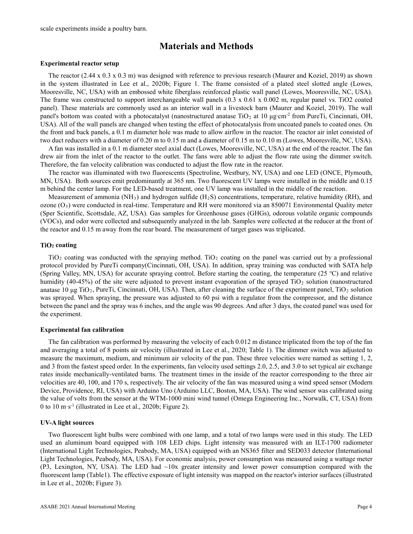scale experiments inside a poultry barn.

# **Materials and Methods**

#### **Experimental reactor setup**

The reactor (2.44 x 0.3 x 0.3 m) was designed with reference to previous research (Maurer and Koziel, 2019) as shown in the system illustrated in Lee et al., 2020b; Figure 1. The frame consisted of a plated steel slotted angle (Lowes, Mooresville, NC, USA) with an embossed white fiberglass reinforced plastic wall panel (Lowes, Mooresville, NC, USA). The frame was constructed to support interchangeable wall panels (0.3 x 0.61 x 0.002 m, regular panel vs. TiO2 coated panel). These materials are commonly used as an interior wall in a livestock barn (Maurer and Koziel, 2019). The wall panel's bottom was coated with a photocatalyst (nanostructured anatase TiO<sub>2</sub> at 10 µg⋅cm<sup>-2</sup> from PureTi, Cincinnati, OH, USA). All of the wall panels are changed when testing the effect of photocatalysis from uncoated panels to coated ones. On the front and back panels, a 0.1 m diameter hole was made to allow airflow in the reactor. The reactor air inlet consisted of two duct reducers with a diameter of 0.20 m to 0.15 m and a diameter of 0.15 m to 0.10 m (Lowes, Mooresville, NC, USA).

A fan was installed in a 0.1 m diameter steel axial duct (Lowes, Mooresville, NC, USA) at the end of the reactor. The fan drew air from the inlet of the reactor to the outlet. The fans were able to adjust the flow rate using the dimmer switch. Therefore, the fan velocity calibration was conducted to adjust the flow rate in the reactor.

The reactor was illuminated with two fluorescents (Spectroline, Westbury, NY, USA) and one LED (ONCE, Plymouth, MN, USA). Both sources emit predominantly at 365 nm. Two fluorescent UV lamps were installed in the middle and 0.15 m behind the center lamp. For the LED-based treatment, one UV lamp was installed in the middle of the reaction.

Measurement of ammonia  $(NH_3)$  and hydrogen sulfide  $(H_2S)$  concentrations, temperature, relative humidity (RH), and ozone  $(O_3)$  were conducted in real-time. Temperature and RH were monitored via an 850071 Environmental Quality meter (Sper Scientific, Scottsdale, AZ, USA). Gas samples for Greenhouse gases (GHGs), odorous volatile organic compounds (VOCs), and odor were collected and subsequently analyzed in the lab. Samples were collected at the reducer at the front of the reactor and 0.15 m away from the rear board. The measurement of target gases was triplicated.

#### **TiO2 coating**

 $TiO<sub>2</sub>$  coating was conducted with the spraying method. TiO<sub>2</sub> coating on the panel was carried out by a professional protocol provided by PureTi company(Cincinnati, OH, USA). In addition, spray training was conducted with SATA help (Spring Valley, MN, USA) for accurate spraying control. Before starting the coating, the temperature (25 ℃) and relative humidity (40-45%) of the site were adjusted to prevent instant evaporation of the sprayed TiO<sub>2</sub> solution (nanostructured anatase 10  $\mu$ g TiO<sub>2</sub>, PureTi, Cincinnati, OH, USA). Then, after cleaning the surface of the experiment panel, TiO<sub>2</sub> solution was sprayed. When spraying, the pressure was adjusted to 60 psi with a regulator from the compressor, and the distance between the panel and the spray was 6 inches, and the angle was 90 degrees. And after 3 days, the coated panel was used for the experiment.

#### **Experimental fan calibration**

The fan calibration was performed by measuring the velocity of each 0.012 m distance triplicated from the top of the fan and averaging a total of 8 points air velocity (illustrated in Lee et al., 2020; Table 1). The dimmer switch was adjusted to measure the maximum, medium, and minimum air velocity of the pan. These three velocities were named as setting 1, 2, and 3 from the fastest speed order. In the experiments, fan velocity used settings 2.0, 2.5, and 3.0 to set typical air exchange rates inside mechanically-ventilated barns. The treatment times in the inside of the reactor corresponding to the three air velocities are 40, 100, and 170 s, respectively. The air velocity of the fan was measured using a wind speed sensor (Modern Device, Providence, RI, USA) with Arduino Uno (Arduino LLC, Boston, MA, USA). The wind sensor was calibrated using the value of volts from the sensor at the WTM-1000 mini wind tunnel (Omega Engineering Inc., Norwalk, CT, USA) from 0 to 10 m·s-1 (illustrated in Lee et al., 2020b; Figure 2).

#### **UV-A light sources**

Two fluorescent light bulbs were combined with one lamp, and a total of two lamps were used in this study. The LED used an aluminum board equipped with 108 LED chips. Light intensity was measured with an ILT-1700 radiometer (International Light Technologies, Peabody, MA, USA) equipped with an NS365 filter and SED033 detector (International Light Technologies, Peabody, MA, USA). For economic analysis, power consumption was measured using a wattage meter (P3, Lexington, NY, USA). The LED had ~10x greater intensity and lower power consumption compared with the fluorescent lamp (Table1). The effective exposure of light intensity was mapped on the reactor's interior surfaces (illustrated in Lee et al., 2020b; Figure 3).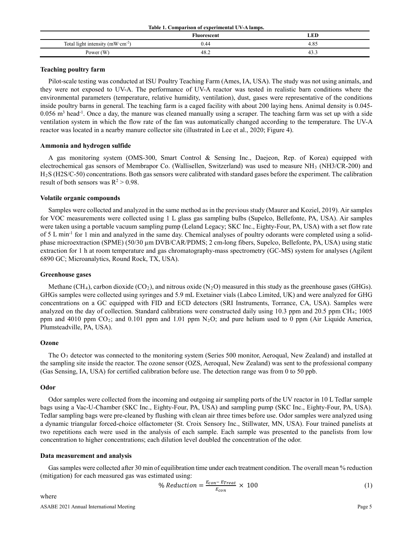|                                                | Fluorescent | ÆD   |
|------------------------------------------------|-------------|------|
| Total light intensity ( $mW \text{ cm}^{-2}$ ) | 1.44        | 4.85 |
| Power (W)                                      | 48.∠        |      |

#### **Teaching poultry farm**

Pilot-scale testing was conducted at ISU Poultry Teaching Farm (Ames, IA, USA). The study was not using animals, and they were not exposed to UV-A. The performance of UV-A reactor was tested in realistic barn conditions where the environmental parameters (temperature, relative humidity, ventilation), dust, gases were representative of the conditions inside poultry barns in general. The teaching farm is a caged facility with about 200 laying hens. Animal density is 0.045-  $0.056$  m<sup>3</sup> head<sup>-1</sup>. Once a day, the manure was cleaned manually using a scraper. The teaching farm was set up with a side ventilation system in which the flow rate of the fan was automatically changed according to the temperature. The UV-A reactor was located in a nearby manure collector site (illustrated in Lee et al., 2020; Figure 4).

#### **Ammonia and hydrogen sulfide**

A gas monitoring system (OMS-300, Smart Control & Sensing Inc., Daejeon, Rep. of Korea) equipped with electrochemical gas sensors of Membrapor Co. (Wallisellen, Switzerland) was used to measure NH3 (NH3/CR-200) and H2S (H2S/C-50) concentrations. Both gas sensors were calibrated with standard gases before the experiment. The calibration result of both sensors was  $R^2 > 0.98$ .

#### **Volatile organic compounds**

Samples were collected and analyzed in the same method as in the previous study (Maurer and Koziel, 2019). Air samples for VOC measurements were collected using 1 L glass gas sampling bulbs (Supelco, Bellefonte, PA, USA). Air samples were taken using a portable vacuum sampling pump (Leland Legacy; SKC Inc., Eighty-Four, PA, USA) with a set flow rate of 5 L min-1 for 1 min and analyzed in the same day. Chemical analyses of poultry odorants were completed using a solidphase microextraction (SPME) (50/30 µm DVB/CAR/PDMS; 2 cm-long fibers, Supelco, Bellefonte, PA, USA) using static extraction for 1 h at room temperature and gas chromatography-mass spectrometry (GC-MS) system for analyses (Agilent 6890 GC; Microanalytics, Round Rock, TX, USA).

#### **Greenhouse gases**

Methane (CH<sub>4</sub>), carbon dioxide (CO<sub>2</sub>), and nitrous oxide (N<sub>2</sub>O) measured in this study as the greenhouse gases (GHGs). GHGs samples were collected using syringes and 5.9 mL Exetainer vials (Labco Limited, UK) and were analyzed for GHG concentrations on a GC equipped with FID and ECD detectors (SRI Instruments, Torrance, CA, USA). Samples were analyzed on the day of collection. Standard calibrations were constructed daily using 10.3 ppm and 20.5 ppm CH<sub>4</sub>; 1005 ppm and 4010 ppm  $CO_2$ ; and 0.101 ppm and 1.01 ppm  $N_2O$ ; and pure helium used to 0 ppm (Air Liquide America, Plumsteadville, PA, USA).

#### **Ozone**

The O3 detector was connected to the monitoring system (Series 500 monitor, Aeroqual, New Zealand) and installed at the sampling site inside the reactor. The ozone sensor (OZS, Aeroqual, New Zealand) was sent to the professional company (Gas Sensing, IA, USA) for certified calibration before use. The detection range was from 0 to 50 ppb.

#### **Odor**

Odor samples were collected from the incoming and outgoing air sampling ports of the UV reactor in 10 L Tedlar sample bags using a Vac-U-Chamber (SKC Inc., Eighty-Four, PA, USA) and sampling pump (SKC Inc., Eighty-Four, PA, USA). Tedlar sampling bags were pre-cleaned by flushing with clean air three times before use. Odor samples were analyzed using a dynamic triangular forced-choice olfactometer (St. Croix Sensory Inc., Stillwater, MN, USA). Four trained panelists at two repetitions each were used in the analysis of each sample. Each sample was presented to the panelists from low concentration to higher concentrations; each dilution level doubled the concentration of the odor.

#### **Data measurement and analysis**

Gas samples were collected after 30 min of equilibration time under each treatment condition. The overall mean % reduction (mitigation) for each measured gas was estimated using:

% *Reduction* = 
$$
\frac{E_{con} - E_{Treat}}{E_{con}} \times 100
$$
 (1)

where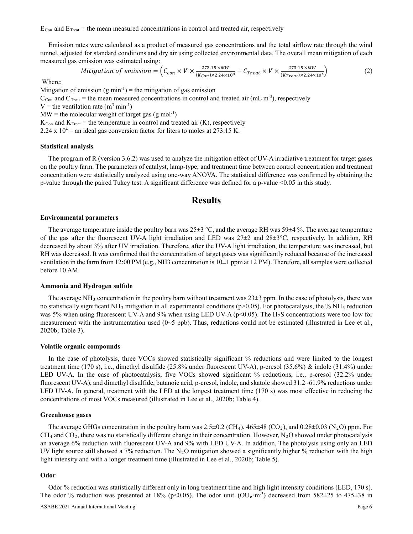$E_{Con}$  and  $E_{Treat}$  = the mean measured concentrations in control and treated air, respectively

Emission rates were calculated as a product of measured gas concentrations and the total airflow rate through the wind tunnel, adjusted for standard conditions and dry air using collected environmental data. The overall mean mitigation of each measured gas emission was estimated using:

$$
Mitigation of emission = \left(C_{con} \times V \times \frac{273.15 \times MW}{(K_{Con}) \times 2.24 \times 10^4} - C_{Treat} \times V \times \frac{273.15 \times MW}{(K_{Treat}) \times 2.24 \times 10^4}\right)
$$
 (2)

Where:

Mitigation of emission  $(g \text{ min}^{-1})$  = the mitigation of gas emission  $C_{Con}$  and  $C_{Treat}$  = the mean measured concentrations in control and treated air (mL m<sup>-3</sup>), respectively V = the ventilation rate  $(m^3 \text{ min}^{-1})$  $MW =$  the molecular weight of target gas  $(g \text{ mol}^{-1})$  $K_{Con}$  and  $K_{Treat}$  = the temperature in control and treated air (K), respectively 2.24 x  $10^4$  = an ideal gas conversion factor for liters to moles at 273.15 K.

#### **Statistical analysis**

The program of R (version 3.6.2) was used to analyze the mitigation effect of UV-A irradiative treatment for target gases on the poultry farm. The parameters of catalyst, lamp-type, and treatment time between control concentration and treatment concentration were statistically analyzed using one-way ANOVA. The statistical difference was confirmed by obtaining the p-value through the paired Tukey test. A significant difference was defined for a p-value <0.05 in this study.

# **Results**

#### **Environmental parameters**

The average temperature inside the poultry barn was  $25\pm3$  °C, and the average RH was  $59\pm4$  %. The average temperature of the gas after the fluorescent UV-A light irradiation and LED was  $27\pm2$  and  $28\pm3\degree$ C, respectively. In addition, RH decreased by about 3% after UV irradiation. Therefore, after the UV-A light irradiation, the temperature was increased, but RH was decreased. It was confirmed that the concentration of target gases was significantly reduced because of the increased ventilation in the farm from 12:00 PM (e.g., NH3 concentration is 10±1 ppm at 12 PM). Therefore, all samples were collected before 10 AM.

#### **Ammonia and Hydrogen sulfide**

The average NH<sub>3</sub> concentration in the poultry barn without treatment was  $23\pm3$  ppm. In the case of photolysis, there was no statistically significant NH<sub>3</sub> mitigation in all experimental conditions (p>0.05). For photocatalysis, the % NH<sub>3</sub> reduction was 5% when using fluorescent UV-A and 9% when using LED UV-A ( $p<0.05$ ). The H<sub>2</sub>S concentrations were too low for measurement with the instrumentation used  $(0~5$  ppb). Thus, reductions could not be estimated (illustrated in Lee et al., 2020b; Table 3).

#### **Volatile organic compounds**

In the case of photolysis, three VOCs showed statistically significant % reductions and were limited to the longest treatment time (170 s), i.e., dimethyl disulfide (25.8% under fluorescent UV-A), p-cresol (35.6%) & indole (31.4%) under LED UV-A. In the case of photocatalysis, five VOCs showed significant % reductions, i.e., p-cresol (32.2% under fluorescent UV-A), and dimethyl disulfide, butanoic acid, p-cresol, indole, and skatole showed 31.2~61.9% reductions under LED UV-A. In general, treatment with the LED at the longest treatment time (170 s) was most effective in reducing the concentrations of most VOCs measured (illustrated in Lee et al., 2020b; Table 4).

#### **Greenhouse gases**

The average GHGs concentration in the poultry barn was  $2.5\pm0.2$  (CH<sub>4</sub>),  $465\pm48$  (CO<sub>2</sub>), and  $0.28\pm0.03$  (N<sub>2</sub>O) ppm. For  $CH_4$  and  $CO_2$ , there was no statistically different change in their concentration. However, N<sub>2</sub>O showed under photocatalysis an average 6% reduction with fluorescent UV-A and 9% with LED UV-A. In addition, The photolysis using only an LED UV light source still showed a 7% reduction. The N<sub>2</sub>O mitigation showed a significantly higher % reduction with the high light intensity and with a longer treatment time (illustrated in Lee et al., 2020b; Table 5).

#### **Odor**

Odor % reduction was statistically different only in long treatment time and high light intensity conditions (LED, 170 s). The odor % reduction was presented at 18% (p<0.05). The odor unit  $(OU_e \cdot m^3)$  decreased from 582 $\pm$ 25 to 475 $\pm$ 38 in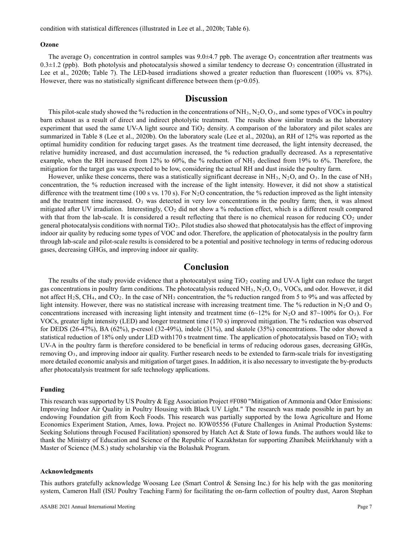#### **Ozone**

The average  $O_3$  concentration in control samples was 9.0±4.7 ppb. The average  $O_3$  concentration after treatments was  $0.3\pm1.2$  (ppb). Both photolysis and photocatalysis showed a similar tendency to decrease  $O_3$  concentration (illustrated in Lee et al., 2020b; Table 7). The LED-based irradiations showed a greater reduction than fluorescent (100% vs. 87%). However, there was no statistically significant difference between them  $(p>0.05)$ .

### **Discussion**

This pilot-scale study showed the % reduction in the concentrations of NH<sub>3</sub>, N<sub>2</sub>O, O<sub>3</sub>, and some types of VOCs in poultry barn exhaust as a result of direct and indirect photolytic treatment. The results show similar trends as the laboratory experiment that used the same UV-A light source and  $TiO<sub>2</sub>$  density. A comparison of the laboratory and pilot scales are summarized in Table 8 (Lee et al., 2020b). On the laboratory scale (Lee et al., 2020a), an RH of 12% was reported as the optimal humidity condition for reducing target gases. As the treatment time decreased, the light intensity decreased, the relative humidity increased, and dust accumulation increased, the % reduction gradually decreased. As a representative example, when the RH increased from 12% to 60%, the % reduction of NH3 declined from 19% to 6%. Therefore, the mitigation for the target gas was expected to be low, considering the actual RH and dust inside the poultry farm.

However, unlike these concerns, there was a statistically significant decrease in  $NH_3$ ,  $N_2O$ , and  $O_3$ . In the case of  $NH_3$ concentration, the % reduction increased with the increase of the light intensity. However, it did not show a statistical difference with the treatment time (100 s vs. 170 s). For  $N_2O$  concentration, the % reduction improved as the light intensity and the treatment time increased.  $O_3$  was detected in very low concentrations in the poultry farm; then, it was almost mitigated after UV irradiation. Interestingly,  $CO<sub>2</sub>$  did not show a % reduction effect, which is a different result compared with that from the lab-scale. It is considered a result reflecting that there is no chemical reason for reducing  $CO<sub>2</sub>$  under general photocatalysis conditions with normal  $TiO<sub>2</sub>$ . Pilot studies also showed that photocatalysis has the effect of improving indoor air quality by reducing some types of VOC and odor. Therefore, the application of photocatalysis in the poultry farm through lab-scale and pilot-scale results is considered to be a potential and positive technology in terms of reducing odorous gases, decreasing GHGs, and improving indoor air quality.

### **Conclusion**

The results of the study provide evidence that a photocatalyst using  $TiO<sub>2</sub>$  coating and UV-A light can reduce the target gas concentrations in poultry farm conditions. The photocatalysis reduced NH<sub>3</sub>, N<sub>2</sub>O, O<sub>3</sub>, VOCs, and odor. However, it did not affect  $H_2S$ , CH<sub>4</sub>, and CO<sub>2</sub>. In the case of NH<sub>3</sub> concentration, the % reduction ranged from 5 to 9% and was affected by light intensity. However, there was no statistical increase with increasing treatment time. The % reduction in N<sub>2</sub>O and O<sub>3</sub> concentrations increased with increasing light intensity and treatment time  $(6{\sim}12\%$  for N<sub>2</sub>O and 87 ${\sim}100\%$  for O<sub>3</sub>). For VOCs, greater light intensity (LED) and longer treatment time (170 s) improved mitigation. The % reduction was observed for DEDS (26-47%), BA (62%), p-cresol (32-49%), indole (31%), and skatole (35%) concentrations. The odor showed a statistical reduction of 18% only under LED with170 s treatment time. The application of photocatalysis based on  $TiO<sub>2</sub>$  with UV-A in the poultry farm is therefore considered to be beneficial in terms of reducing odorous gases, decreasing GHGs, removing  $O_3$ , and improving indoor air quality. Further research needs to be extended to farm-scale trials for investigating more detailed economic analysis and mitigation of target gases. In addition, it is also necessary to investigate the by-products after photocatalysis treatment for safe technology applications.

#### **Funding**

This research was supported by US Poultry & Egg Association Project #F080 "Mitigation of Ammonia and Odor Emissions: Improving Indoor Air Quality in Poultry Housing with Black UV Light." The research was made possible in part by an endowing Foundation gift from Koch Foods. This research was partially supported by the Iowa Agriculture and Home Economics Experiment Station, Ames, Iowa. Project no. IOW05556 (Future Challenges in Animal Production Systems: Seeking Solutions through Focused Facilitation) sponsored by Hatch Act & State of Iowa funds. The authors would like to thank the Ministry of Education and Science of the Republic of Kazakhstan for supporting Zhanibek Meiirkhanuly with a Master of Science (M.S.) study scholarship via the Bolashak Program.

#### **Acknowledgments**

This authors gratefully acknowledge Woosang Lee (Smart Control & Sensing Inc.) for his help with the gas monitoring system, Cameron Hall (ISU Poultry Teaching Farm) for facilitating the on-farm collection of poultry dust, Aaron Stephan